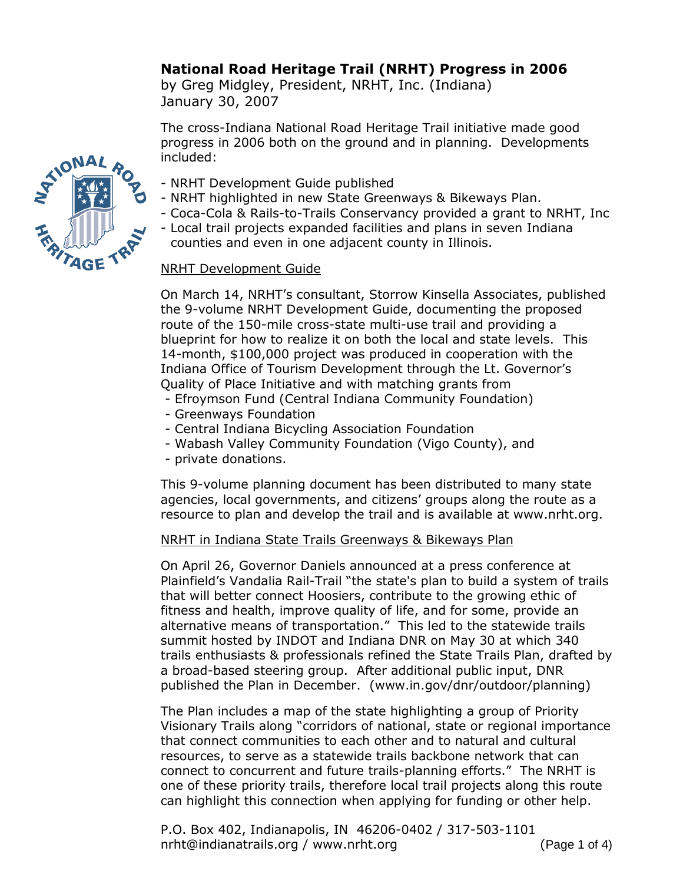# **National Road Heritage Trail (NRHT) Progress in 2006**

by Greg Midgley, President, NRHT, Inc. (Indiana) January 30, 2007

The cross-Indiana National Road Heritage Trail initiative made good progress in 2006 both on the ground and in planning. Developments included:

- NRHT Development Guide published
- NRHT highlighted in new State Greenways & Bikeways Plan.
- Coca-Cola & Rails-to-Trails Conservancy provided a grant to NRHT, Inc
- Local trail projects expanded facilities and plans in seven Indiana counties and even in one adjacent county in Illinois.

### NRHT Development Guide

On March 14, NRHT's consultant, Storrow Kinsella Associates, published the 9-volume NRHT Development Guide, documenting the proposed route of the 150-mile cross-state multi-use trail and providing a blueprint for how to realize it on both the local and state levels. This 14-month, \$100,000 project was produced in cooperation with the Indiana Office of Tourism Development through the Lt. Governor's Quality of Place Initiative and with matching grants from

- Efroymson Fund (Central Indiana Community Foundation)

- Greenways Foundation
- Central Indiana Bicycling Association Foundation
- Wabash Valley Community Foundation (Vigo County), and
- private donations.

This 9-volume planning document has been distributed to many state agencies, local governments, and citizens' groups along the route as a resource to plan and develop the trail and is available at www.nrht.org.

# NRHT in Indiana State Trails Greenways & Bikeways Plan

On April 26, Governor Daniels announced at a press conference at Plainfield's Vandalia Rail-Trail "the state's plan to build a system of trails that will better connect Hoosiers, contribute to the growing ethic of fitness and health, improve quality of life, and for some, provide an alternative means of transportation." This led to the statewide trails summit hosted by INDOT and Indiana DNR on May 30 at which 340 trails enthusiasts & professionals refined the State Trails Plan, drafted by a broad-based steering group. After additional public input, DNR published the Plan in December. (www.in.gov/dnr/outdoor/planning)

The Plan includes a map of the state highlighting a group of Priority Visionary Trails along "corridors of national, state or regional importance that connect communities to each other and to natural and cultural resources, to serve as a statewide trails backbone network that can connect to concurrent and future trails-planning efforts." The NRHT is one of these priority trails, therefore local trail projects along this route can highlight this connection when applying for funding or other help.

P.O. Box 402, Indianapolis, IN 46206-0402 / 317-503-1101 nrht@indianatrails.org / www.nrht.org (Page 1 of 4)

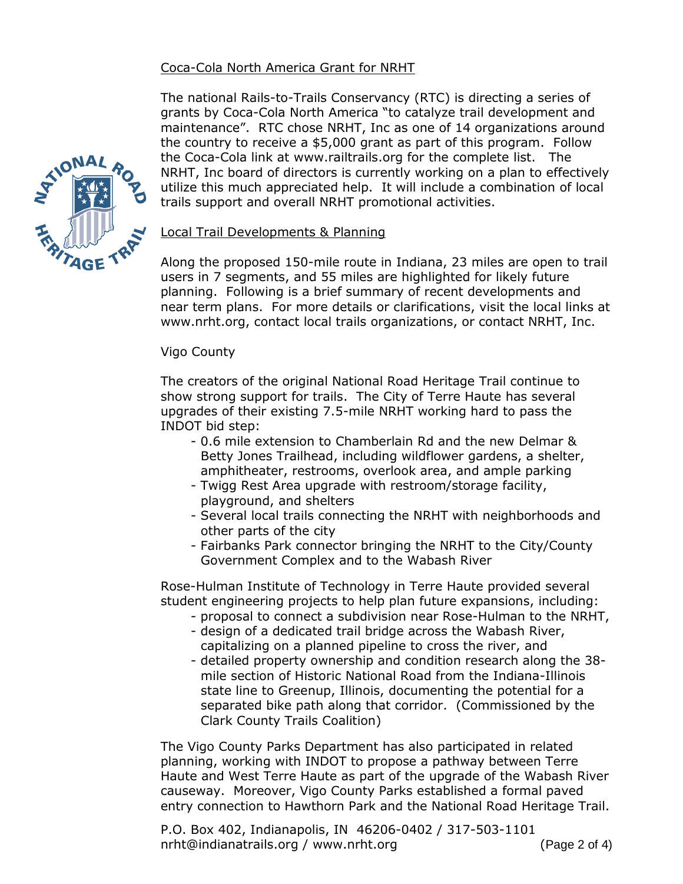# Coca-Cola North America Grant for NRHT

The national Rails-to-Trails Conservancy (RTC) is directing a series of grants by Coca-Cola North America "to catalyze trail development and maintenance". RTC chose NRHT, Inc as one of 14 organizations around the country to receive a \$5,000 grant as part of this program. Follow the Coca-Cola link at www.railtrails.org for the complete list. The NRHT, Inc board of directors is currently working on a plan to effectively utilize this much appreciated help. It will include a combination of local trails support and overall NRHT promotional activities.



Along the proposed 150-mile route in Indiana, 23 miles are open to trail users in 7 segments, and 55 miles are highlighted for likely future planning. Following is a brief summary of recent developments and near term plans. For more details or clarifications, visit the local links at www.nrht.org, contact local trails organizations, or contact NRHT, Inc.

### Vigo County

The creators of the original National Road Heritage Trail continue to show strong support for trails. The City of Terre Haute has several upgrades of their existing 7.5-mile NRHT working hard to pass the INDOT bid step:

- 0.6 mile extension to Chamberlain Rd and the new Delmar & Betty Jones Trailhead, including wildflower gardens, a shelter, amphitheater, restrooms, overlook area, and ample parking
- Twigg Rest Area upgrade with restroom/storage facility, playground, and shelters
- Several local trails connecting the NRHT with neighborhoods and other parts of the city
- Fairbanks Park connector bringing the NRHT to the City/County Government Complex and to the Wabash River

Rose-Hulman Institute of Technology in Terre Haute provided several student engineering projects to help plan future expansions, including:

- proposal to connect a subdivision near Rose-Hulman to the NRHT,
- design of a dedicated trail bridge across the Wabash River, capitalizing on a planned pipeline to cross the river, and
- detailed property ownership and condition research along the 38 mile section of Historic National Road from the Indiana-Illinois state line to Greenup, Illinois, documenting the potential for a separated bike path along that corridor. (Commissioned by the Clark County Trails Coalition)

The Vigo County Parks Department has also participated in related planning, working with INDOT to propose a pathway between Terre Haute and West Terre Haute as part of the upgrade of the Wabash River causeway. Moreover, Vigo County Parks established a formal paved entry connection to Hawthorn Park and the National Road Heritage Trail.

P.O. Box 402, Indianapolis, IN 46206-0402 / 317-503-1101 nrht@indianatrails.org / www.nrht.org (Page 2 of 4)

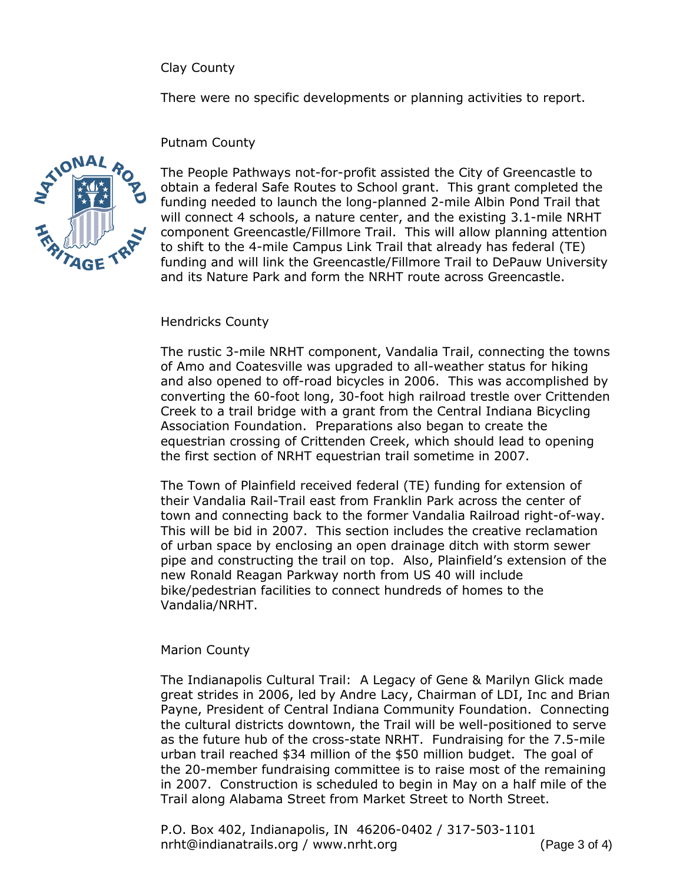Clay County

There were no specific developments or planning activities to report.

### Putnam County



The People Pathways not-for-profit assisted the City of Greencastle to obtain a federal Safe Routes to School grant. This grant completed the funding needed to launch the long-planned 2-mile Albin Pond Trail that will connect 4 schools, a nature center, and the existing 3.1-mile NRHT component Greencastle/Fillmore Trail. This will allow planning attention to shift to the 4-mile Campus Link Trail that already has federal (TE) funding and will link the Greencastle/Fillmore Trail to DePauw University and its Nature Park and form the NRHT route across Greencastle.

### Hendricks County

The rustic 3-mile NRHT component, Vandalia Trail, connecting the towns of Amo and Coatesville was upgraded to all-weather status for hiking and also opened to off-road bicycles in 2006. This was accomplished by converting the 60-foot long, 30-foot high railroad trestle over Crittenden Creek to a trail bridge with a grant from the Central Indiana Bicycling Association Foundation. Preparations also began to create the equestrian crossing of Crittenden Creek, which should lead to opening the first section of NRHT equestrian trail sometime in 2007.

The Town of Plainfield received federal (TE) funding for extension of their Vandalia Rail-Trail east from Franklin Park across the center of town and connecting back to the former Vandalia Railroad right-of-way. This will be bid in 2007. This section includes the creative reclamation of urban space by enclosing an open drainage ditch with storm sewer pipe and constructing the trail on top. Also, Plainfield's extension of the new Ronald Reagan Parkway north from US 40 will include bike/pedestrian facilities to connect hundreds of homes to the Vandalia/NRHT.

# Marion County

The Indianapolis Cultural Trail: A Legacy of Gene & Marilyn Glick made great strides in 2006, led by Andre Lacy, Chairman of LDI, Inc and Brian Payne, President of Central Indiana Community Foundation. Connecting the cultural districts downtown, the Trail will be well-positioned to serve as the future hub of the cross-state NRHT. Fundraising for the 7.5-mile urban trail reached \$34 million of the \$50 million budget. The goal of the 20-member fundraising committee is to raise most of the remaining in 2007. Construction is scheduled to begin in May on a half mile of the Trail along Alabama Street from Market Street to North Street.

P.O. Box 402, Indianapolis, IN 46206-0402 / 317-503-1101 nrht@indianatrails.org / www.nrht.org (Page 3 of 4)